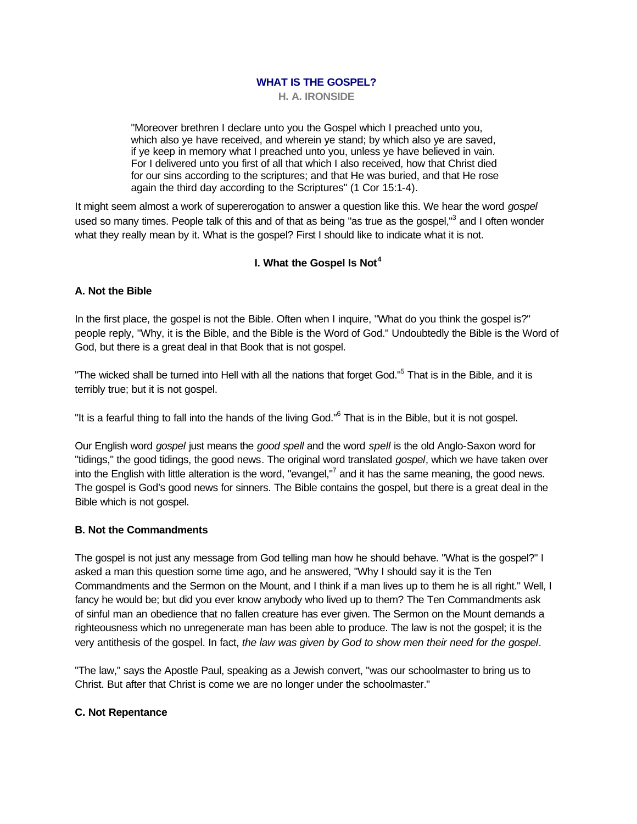**H. A. IRONSIDE**

"Moreover brethren I declare unto you the Gospel which I preached unto you, which also ye have received, and wherein ye stand; by which also ye are saved, if ye keep in memory what I preached unto you, unless ye have believed in vain. For I delivered unto you first of all that which I also received, how that Christ died for our sins according to the scriptures; and that He was buried, and that He rose again the third day according to the Scriptures" (1 Cor 15:1-4).

It might seem almost a work of supererogation to answer a question like this. We hear the word *gospel* used so many times. People talk of this and of that as being "as true as the gospel,"<sup>3</sup> and I often wonder what they really mean by it. What is the gospel? First I should like to indicate what it is not.

## **I. What the Gospel Is Not<sup>4</sup>**

## **A. Not the Bible**

In the first place, the gospel is not the Bible. Often when I inquire, "What do you think the gospel is?" people reply, "Why, it is the Bible, and the Bible is the Word of God." Undoubtedly the Bible is the Word of God, but there is a great deal in that Book that is not gospel.

"The wicked shall be turned into Hell with all the nations that forget God."<sup>5</sup> That is in the Bible, and it is terribly true; but it is not gospel.

"It is a fearful thing to fall into the hands of the living God."<sup>6</sup> That is in the Bible, but it is not gospel.

Our English word *gospel* just means the *good spell* and the word *spell* is the old Anglo-Saxon word for "tidings," the good tidings, the good news. The original word translated *gospel*, which we have taken over into the English with little alteration is the word, "evangel,"<sup>7</sup> and it has the same meaning, the good news. The gospel is God's good news for sinners. The Bible contains the gospel, but there is a great deal in the Bible which is not gospel.

## **B. Not the Commandments**

The gospel is not just any message from God telling man how he should behave. "What is the gospel?" I asked a man this question some time ago, and he answered, "Why I should say it is the Ten Commandments and the Sermon on the Mount, and I think if a man lives up to them he is all right." Well, I fancy he would be; but did you ever know anybody who lived up to them? The Ten Commandments ask of sinful man an obedience that no fallen creature has ever given. The Sermon on the Mount demands a righteousness which no unregenerate man has been able to produce. The law is not the gospel; it is the very antithesis of the gospel. In fact, *the law was given by God to show men their need for the gospel*.

"The law," says the Apostle Paul, speaking as a Jewish convert, "was our schoolmaster to bring us to Christ. But after that Christ is come we are no longer under the schoolmaster."

#### **C. Not Repentance**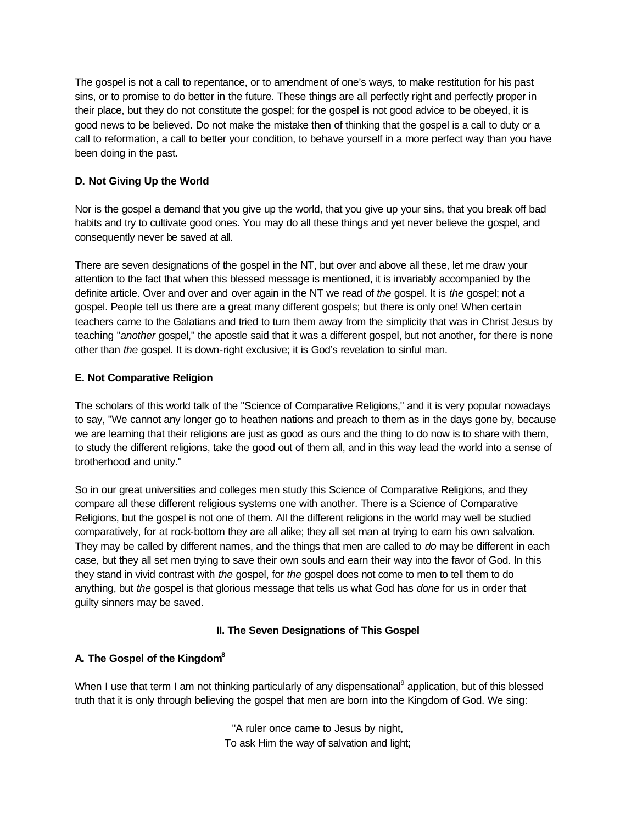The gospel is not a call to repentance, or to amendment of one's ways, to make restitution for his past sins, or to promise to do better in the future. These things are all perfectly right and perfectly proper in their place, but they do not constitute the gospel; for the gospel is not good advice to be obeyed, it is good news to be believed. Do not make the mistake then of thinking that the gospel is a call to duty or a call to reformation, a call to better your condition, to behave yourself in a more perfect way than you have been doing in the past.

# **D. Not Giving Up the World**

Nor is the gospel a demand that you give up the world, that you give up your sins, that you break off bad habits and try to cultivate good ones. You may do all these things and yet never believe the gospel, and consequently never be saved at all.

There are seven designations of the gospel in the NT, but over and above all these, let me draw your attention to the fact that when this blessed message is mentioned, it is invariably accompanied by the definite article. Over and over and over again in the NT we read of *the* gospel. It is *the* gospel; not *a* gospel. People tell us there are a great many different gospels; but there is only one! When certain teachers came to the Galatians and tried to turn them away from the simplicity that was in Christ Jesus by teaching "*another* gospel," the apostle said that it was a different gospel, but not another, for there is none other than *the* gospel. It is down-right exclusive; it is God's revelation to sinful man.

# **E. Not Comparative Religion**

The scholars of this world talk of the "Science of Comparative Religions," and it is very popular nowadays to say, "We cannot any longer go to heathen nations and preach to them as in the days gone by, because we are learning that their religions are just as good as ours and the thing to do now is to share with them, to study the different religions, take the good out of them all, and in this way lead the world into a sense of brotherhood and unity."

So in our great universities and colleges men study this Science of Comparative Religions, and they compare all these different religious systems one with another. There is a Science of Comparative Religions, but the gospel is not one of them. All the different religions in the world may well be studied comparatively, for at rock-bottom they are all alike; they all set man at trying to earn his own salvation. They may be called by different names, and the things that men are called to *do* may be different in each case, but they all set men trying to save their own souls and earn their way into the favor of God. In this they stand in vivid contrast with *the* gospel, for *the* gospel does not come to men to tell them to do anything, but *the* gospel is that glorious message that tells us what God has *done* for us in order that guilty sinners may be saved.

## **II. The Seven Designations of This Gospel**

## **A. The Gospel of the Kingdom<sup>8</sup>**

When I use that term I am not thinking particularly of any dispensational<sup>9</sup> application, but of this blessed truth that it is only through believing the gospel that men are born into the Kingdom of God. We sing:

> "A ruler once came to Jesus by night, To ask Him the way of salvation and light;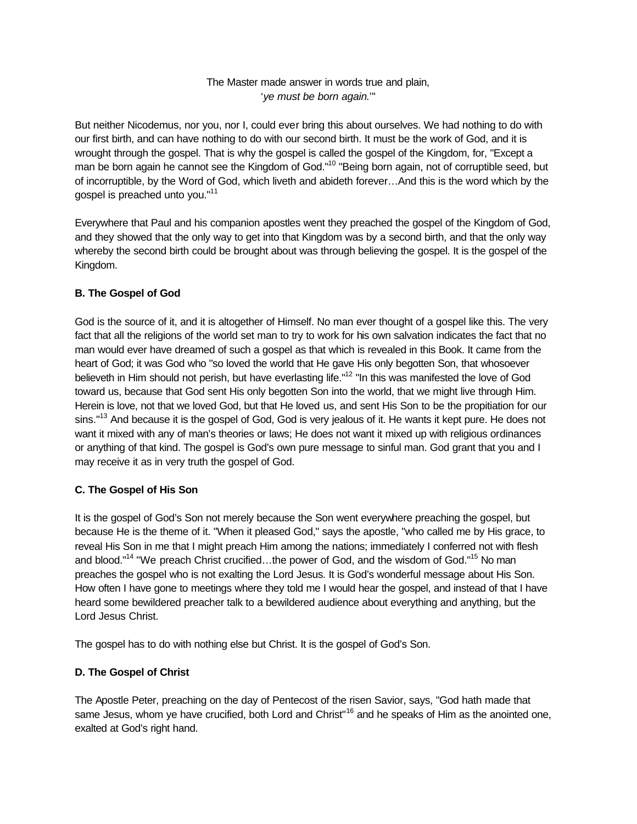# The Master made answer in words true and plain, '*ye must be born again*.'"

But neither Nicodemus, nor you, nor I, could ever bring this about ourselves. We had nothing to do with our first birth, and can have nothing to do with our second birth. It must be the work of God, and it is wrought through the gospel. That is why the gospel is called the gospel of the Kingdom, for, "Except a man be born again he cannot see the Kingdom of God."<sup>10</sup> "Being born again, not of corruptible seed, but of incorruptible, by the Word of God, which liveth and abideth forever…And this is the word which by the gospel is preached unto you."<sup>11</sup>

Everywhere that Paul and his companion apostles went they preached the gospel of the Kingdom of God, and they showed that the only way to get into that Kingdom was by a second birth, and that the only way whereby the second birth could be brought about was through believing the gospel. It is the gospel of the Kingdom.

# **B. The Gospel of God**

God is the source of it, and it is altogether of Himself. No man ever thought of a gospel like this. The very fact that all the religions of the world set man to try to work for his own salvation indicates the fact that no man would ever have dreamed of such a gospel as that which is revealed in this Book. It came from the heart of God; it was God who "so loved the world that He gave His only begotten Son, that whosoever believeth in Him should not perish, but have everlasting life."<sup>12</sup> "In this was manifested the love of God toward us, because that God sent His only begotten Son into the world, that we might live through Him. Herein is love, not that we loved God, but that He loved us, and sent His Son to be the propitiation for our sins."<sup>13</sup> And because it is the gospel of God, God is very jealous of it. He wants it kept pure. He does not want it mixed with any of man's theories or laws; He does not want it mixed up with religious ordinances or anything of that kind. The gospel is God's own pure message to sinful man. God grant that you and I may receive it as in very truth the gospel of God.

# **C. The Gospel of His Son**

It is the gospel of God's Son not merely because the Son went everywhere preaching the gospel, but because He is the theme of it. "When it pleased God," says the apostle, "who called me by His grace, to reveal His Son in me that I might preach Him among the nations; immediately I conferred not with flesh and blood."<sup>14</sup> "We preach Christ crucified...the power of God, and the wisdom of God."<sup>15</sup> No man preaches the gospel who is not exalting the Lord Jesus. It is God's wonderful message about His Son. How often I have gone to meetings where they told me I would hear the gospel, and instead of that I have heard some bewildered preacher talk to a bewildered audience about everything and anything, but the Lord Jesus Christ.

The gospel has to do with nothing else but Christ. It is the gospel of God's Son.

# **D. The Gospel of Christ**

The Apostle Peter, preaching on the day of Pentecost of the risen Savior, says, "God hath made that same Jesus, whom ye have crucified, both Lord and Christ<sup>"16</sup> and he speaks of Him as the anointed one, exalted at God's right hand.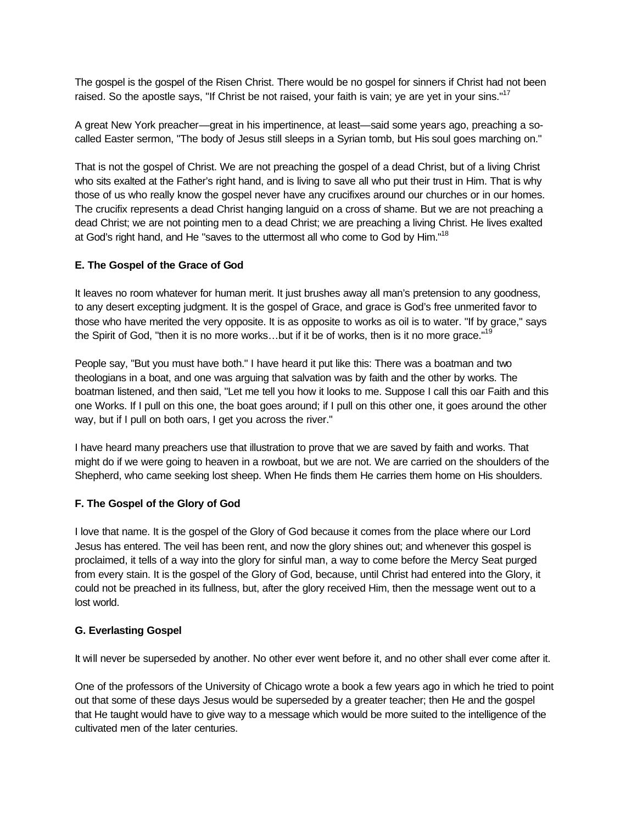The gospel is the gospel of the Risen Christ. There would be no gospel for sinners if Christ had not been raised. So the apostle says, "If Christ be not raised, your faith is vain; ye are yet in your sins."<sup>17</sup>

A great New York preacher—great in his impertinence, at least—said some years ago, preaching a socalled Easter sermon, "The body of Jesus still sleeps in a Syrian tomb, but His soul goes marching on."

That is not the gospel of Christ. We are not preaching the gospel of a dead Christ, but of a living Christ who sits exalted at the Father's right hand, and is living to save all who put their trust in Him. That is why those of us who really know the gospel never have any crucifixes around our churches or in our homes. The crucifix represents a dead Christ hanging languid on a cross of shame. But we are not preaching a dead Christ; we are not pointing men to a dead Christ; we are preaching a living Christ. He lives exalted at God's right hand, and He "saves to the uttermost all who come to God by Him."<sup>18</sup>

### **E. The Gospel of the Grace of God**

It leaves no room whatever for human merit. It just brushes away all man's pretension to any goodness, to any desert excepting judgment. It is the gospel of Grace, and grace is God's free unmerited favor to those who have merited the very opposite. It is as opposite to works as oil is to water. "If by grace," says the Spirit of God, "then it is no more works...but if it be of works, then is it no more grace."<sup>19</sup>

People say, "But you must have both." I have heard it put like this: There was a boatman and two theologians in a boat, and one was arguing that salvation was by faith and the other by works. The boatman listened, and then said, "Let me tell you how it looks to me. Suppose I call this oar Faith and this one Works. If I pull on this one, the boat goes around; if I pull on this other one, it goes around the other way, but if I pull on both oars, I get you across the river."

I have heard many preachers use that illustration to prove that we are saved by faith and works. That might do if we were going to heaven in a rowboat, but we are not. We are carried on the shoulders of the Shepherd, who came seeking lost sheep. When He finds them He carries them home on His shoulders.

## **F. The Gospel of the Glory of God**

I love that name. It is the gospel of the Glory of God because it comes from the place where our Lord Jesus has entered. The veil has been rent, and now the glory shines out; and whenever this gospel is proclaimed, it tells of a way into the glory for sinful man, a way to come before the Mercy Seat purged from every stain. It is the gospel of the Glory of God, because, until Christ had entered into the Glory, it could not be preached in its fullness, but, after the glory received Him, then the message went out to a lost world.

#### **G. Everlasting Gospel**

It will never be superseded by another. No other ever went before it, and no other shall ever come after it.

One of the professors of the University of Chicago wrote a book a few years ago in which he tried to point out that some of these days Jesus would be superseded by a greater teacher; then He and the gospel that He taught would have to give way to a message which would be more suited to the intelligence of the cultivated men of the later centuries.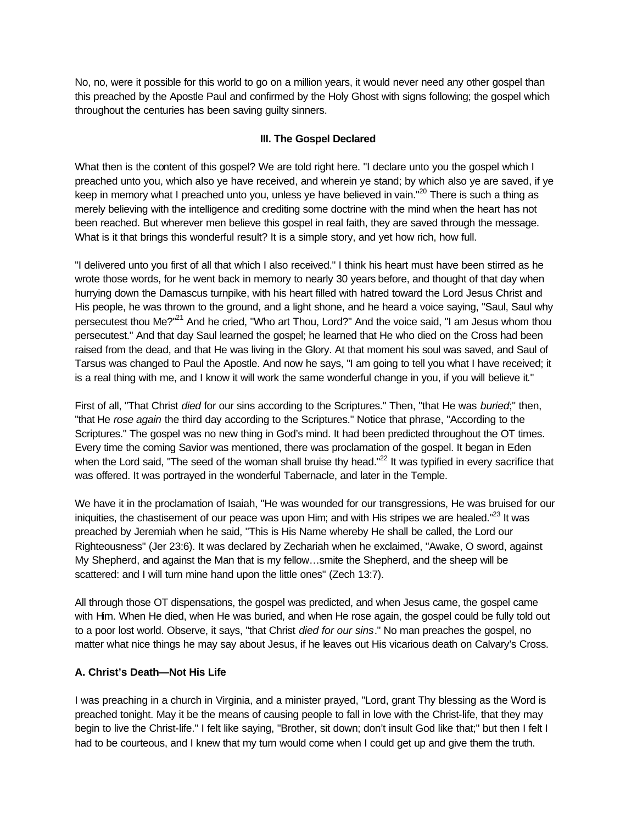No, no, were it possible for this world to go on a million years, it would never need any other gospel than this preached by the Apostle Paul and confirmed by the Holy Ghost with signs following; the gospel which throughout the centuries has been saving guilty sinners.

## **III. The Gospel Declared**

What then is the content of this gospel? We are told right here. "I declare unto you the gospel which I preached unto you, which also ye have received, and wherein ye stand; by which also ye are saved, if ye keep in memory what I preached unto you, unless ye have believed in vain."<sup>20</sup> There is such a thing as merely believing with the intelligence and crediting some doctrine with the mind when the heart has not been reached. But wherever men believe this gospel in real faith, they are saved through the message. What is it that brings this wonderful result? It is a simple story, and yet how rich, how full.

"I delivered unto you first of all that which I also received." I think his heart must have been stirred as he wrote those words, for he went back in memory to nearly 30 years before, and thought of that day when hurrying down the Damascus turnpike, with his heart filled with hatred toward the Lord Jesus Christ and His people, he was thrown to the ground, and a light shone, and he heard a voice saying, "Saul, Saul why persecutest thou Me?"<sup>21</sup> And he cried, "Who art Thou, Lord?" And the voice said, "I am Jesus whom thou persecutest." And that day Saul learned the gospel; he learned that He who died on the Cross had been raised from the dead, and that He was living in the Glory. At that moment his soul was saved, and Saul of Tarsus was changed to Paul the Apostle. And now he says, "I am going to tell you what I have received; it is a real thing with me, and I know it will work the same wonderful change in you, if you will believe it."

First of all, "That Christ *died* for our sins according to the Scriptures." Then, "that He was *buried*;" then, "that He *rose again* the third day according to the Scriptures." Notice that phrase, "According to the Scriptures." The gospel was no new thing in God's mind. It had been predicted throughout the OT times. Every time the coming Savior was mentioned, there was proclamation of the gospel. It began in Eden when the Lord said, "The seed of the woman shall bruise thy head."<sup>22</sup> It was typified in every sacrifice that was offered. It was portrayed in the wonderful Tabernacle, and later in the Temple.

We have it in the proclamation of Isaiah, "He was wounded for our transgressions, He was bruised for our iniquities, the chastisement of our peace was upon Him; and with His stripes we are healed."<sup>23</sup> It was preached by Jeremiah when he said, "This is His Name whereby He shall be called, the Lord our Righteousness" (Jer 23:6). It was declared by Zechariah when he exclaimed, "Awake, O sword, against My Shepherd, and against the Man that is my fellow…smite the Shepherd, and the sheep will be scattered: and I will turn mine hand upon the little ones" (Zech 13:7).

All through those OT dispensations, the gospel was predicted, and when Jesus came, the gospel came with Him. When He died, when He was buried, and when He rose again, the gospel could be fully told out to a poor lost world. Observe, it says, "that Christ *died for our sins*." No man preaches the gospel, no matter what nice things he may say about Jesus, if he leaves out His vicarious death on Calvary's Cross.

## **A. Christ's Death—Not His Life**

I was preaching in a church in Virginia, and a minister prayed, "Lord, grant Thy blessing as the Word is preached tonight. May it be the means of causing people to fall in love with the Christ-life, that they may begin to live the Christ-life." I felt like saying, "Brother, sit down; don't insult God like that;" but then I felt I had to be courteous, and I knew that my turn would come when I could get up and give them the truth.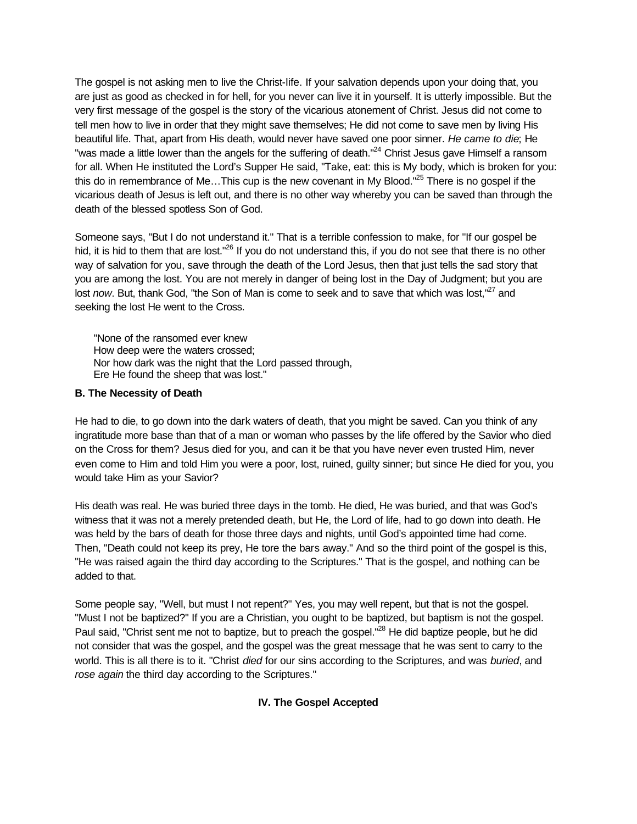The gospel is not asking men to live the Christ-life. If your salvation depends upon your doing that, you are just as good as checked in for hell, for you never can live it in yourself. It is utterly impossible. But the very first message of the gospel is the story of the vicarious atonement of Christ. Jesus did not come to tell men how to live in order that they might save themselves; He did not come to save men by living His beautiful life. That, apart from His death, would never have saved one poor sinner. *He came to die*; He "was made a little lower than the angels for the suffering of death."<sup>24</sup> Christ Jesus gave Himself a ransom for all. When He instituted the Lord's Supper He said, "Take, eat: this is My body, which is broken for you: this do in remembrance of Me...This cup is the new covenant in My Blood."<sup>25</sup> There is no gospel if the vicarious death of Jesus is left out, and there is no other way whereby you can be saved than through the death of the blessed spotless Son of God.

Someone says, "But I do not understand it." That is a terrible confession to make, for "If our gospel be hid, it is hid to them that are lost."<sup>26</sup> If you do not understand this, if you do not see that there is no other way of salvation for you, save through the death of the Lord Jesus, then that just tells the sad story that you are among the lost. You are not merely in danger of being lost in the Day of Judgment; but you are lost *now*. But, thank God, "the Son of Man is come to seek and to save that which was lost."<sup>27</sup> and seeking the lost He went to the Cross.

"None of the ransomed ever knew How deep were the waters crossed; Nor how dark was the night that the Lord passed through, Ere He found the sheep that was lost."

### **B. The Necessity of Death**

He had to die, to go down into the dark waters of death, that you might be saved. Can you think of any ingratitude more base than that of a man or woman who passes by the life offered by the Savior who died on the Cross for them? Jesus died for you, and can it be that you have never even trusted Him, never even come to Him and told Him you were a poor, lost, ruined, guilty sinner; but since He died for you, you would take Him as your Savior?

His death was real. He was buried three days in the tomb. He died, He was buried, and that was God's witness that it was not a merely pretended death, but He, the Lord of life, had to go down into death. He was held by the bars of death for those three days and nights, until God's appointed time had come. Then, "Death could not keep its prey, He tore the bars away." And so the third point of the gospel is this, "He was raised again the third day according to the Scriptures." That is the gospel, and nothing can be added to that.

Some people say, "Well, but must I not repent?" Yes, you may well repent, but that is not the gospel. "Must I not be baptized?" If you are a Christian, you ought to be baptized, but baptism is not the gospel. Paul said, "Christ sent me not to baptize, but to preach the gospel."<sup>28</sup> He did baptize people, but he did not consider that was the gospel, and the gospel was the great message that he was sent to carry to the world. This is all there is to it. "Christ *died* for our sins according to the Scriptures, and was *buried*, and *rose again* the third day according to the Scriptures."

## **IV. The Gospel Accepted**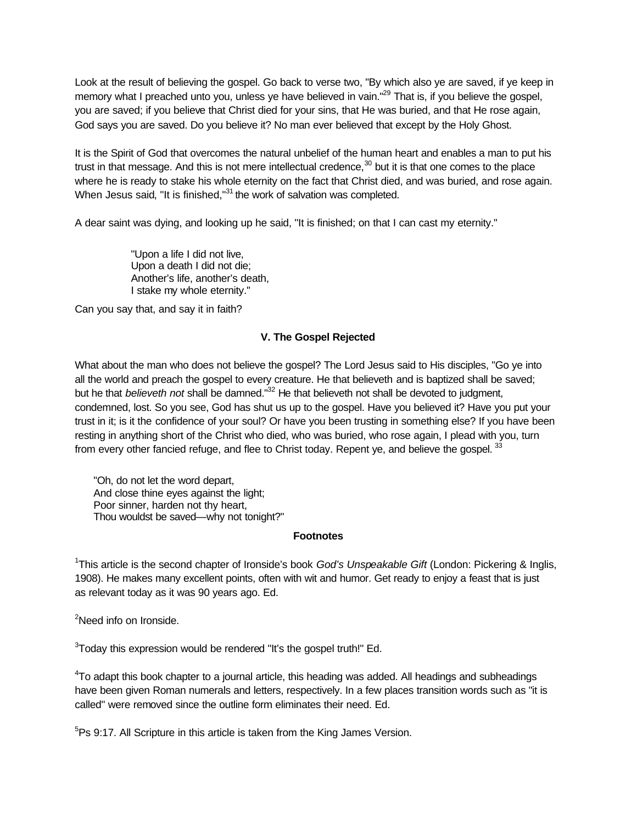Look at the result of believing the gospel. Go back to verse two, "By which also ye are saved, if ye keep in memory what I preached unto you, unless ye have believed in vain."<sup>29</sup> That is, if you believe the gospel, you are saved; if you believe that Christ died for your sins, that He was buried, and that He rose again, God says you are saved. Do you believe it? No man ever believed that except by the Holy Ghost.

It is the Spirit of God that overcomes the natural unbelief of the human heart and enables a man to put his trust in that message. And this is not mere intellectual credence, $30$  but it is that one comes to the place where he is ready to stake his whole eternity on the fact that Christ died, and was buried, and rose again. When Jesus said, "It is finished,"<sup>31</sup> the work of salvation was completed.

A dear saint was dying, and looking up he said, "It is finished; on that I can cast my eternity."

"Upon a life I did not live, Upon a death I did not die; Another's life, another's death, I stake my whole eternity."

Can you say that, and say it in faith?

# **V. The Gospel Rejected**

What about the man who does not believe the gospel? The Lord Jesus said to His disciples, "Go ye into all the world and preach the gospel to every creature. He that believeth and is baptized shall be saved; but he that *believeth not* shall be damned."<sup>32</sup> He that believeth not shall be devoted to judgment, condemned, lost. So you see, God has shut us up to the gospel. Have you believed it? Have you put your trust in it; is it the confidence of your soul? Or have you been trusting in something else? If you have been resting in anything short of the Christ who died, who was buried, who rose again, I plead with you, turn from every other fancied refuge, and flee to Christ today. Repent ye, and believe the gospel.  $33$ 

"Oh, do not let the word depart, And close thine eyes against the light; Poor sinner, harden not thy heart, Thou wouldst be saved—why not tonight?"

#### **Footnotes**

1 This article is the second chapter of Ironside's book *God's Unspeakable Gift* (London: Pickering & Inglis, 1908). He makes many excellent points, often with wit and humor. Get ready to enjoy a feast that is just as relevant today as it was 90 years ago. Ed.

<sup>2</sup>Need info on Ironside.

 $3$ Today this expression would be rendered "It's the gospel truth!" Ed.

<sup>4</sup>To adapt this book chapter to a journal article, this heading was added. All headings and subheadings have been given Roman numerals and letters, respectively. In a few places transition words such as "it is called" were removed since the outline form eliminates their need. Ed.

 $5P$ s 9:17. All Scripture in this article is taken from the King James Version.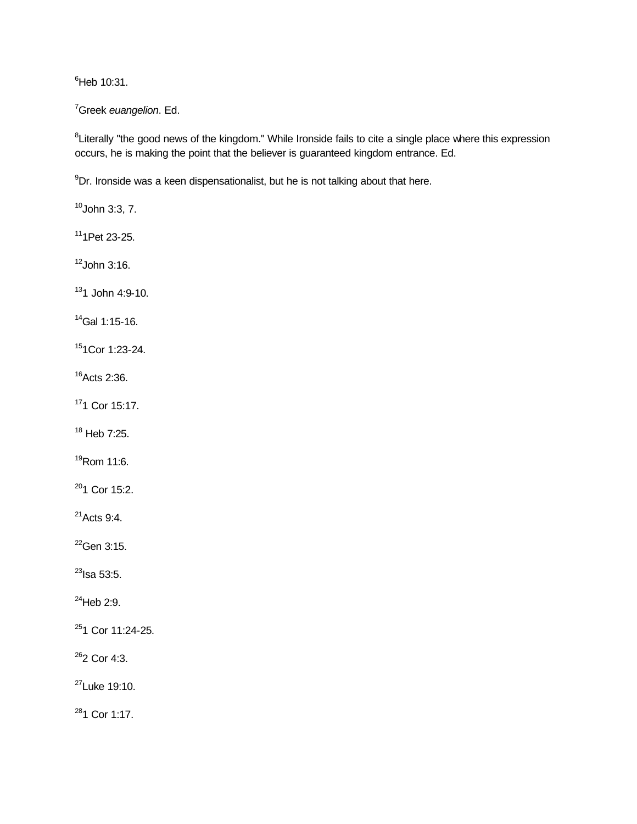${}^{6}$ Heb 10:31.

<sup>7</sup>Greek *euangelion*. Ed.

<sup>8</sup>Literally "the good news of the kingdom." While Ironside fails to cite a single place where this expression occurs, he is making the point that the believer is guaranteed kingdom entrance. Ed.

 $^{9}$ Dr. Ironside was a keen dispensationalist, but he is not talking about that here.

 $10$ John 3:3, 7.

 $11$ 1Pet 23-25.

 $12$ John 3:16.

 $131$  John 4:9-10.

 $14$ Gal 1:15-16.

<sup>15</sup>1Cor 1:23-24.

<sup>16</sup>Acts 2:36.

<sup>17</sup>1 Cor 15:17.

 $18$  Heb 7:25.

<sup>19</sup>Rom 11:6.

<sup>20</sup>1 Cor 15:2.

 $21$ Acts 9:4.

 $^{22}$ Gen 3:15.

 $^{23}$ Isa 53:5.

 $^{24}$ Heb 2:9.

<sup>25</sup>1 Cor 11:24-25.

<sup>26</sup>2 Cor 4:3.

<sup>27</sup>Luke 19:10.

<sup>28</sup>1 Cor 1:17.